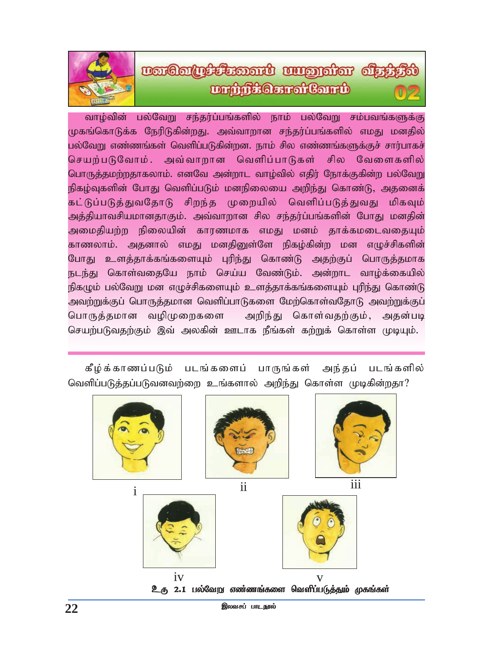# uartaring formation and manufacture and an **DrûifsGereiCord**

வாழ்வின் பல்வேறு சந்தர்ப்பங்களில் நாம் பல்வேறு சம்பவங்களுக்கு முகங்கொடுக்க நேரிடுகின்றது. அவ்வாறான சந்தர்ப்பங்களில் எமது மனதில் பல்வேறு எண்ணங்கள் வெளிப்படுகின்றன. நாம் சில எண்ணங்களுக்குச் சார்பாகச் செயற்படுவோம். அவ்வாறான வெளிப்பாடுகள் சில வேளைகளில் பொருத்தமற்றதாகலாம். எனவே அன்றாட வாழ்வில் எதிர் நோக்குகின்ற பல்வேறு நிகழ்வுகளின் போது வெளிப்படும் மனநிலையை அறிந்து கொண்டு, அதனைக் கட்டுப்படுத்துவதோடு சிறந்த முறையில் வெளிப்படுத்துவது மிகவும் அத்தியாவசியமானதாகும். அவ்வாறான சில சந்தர்ப்பங்களின் போது மனதின் அமைதியற்ற நிலையின் காரணமாக எமது மனம் தாக்கமடைவதையும் காணலாம். அதனால் எமது மனதினுள்ளே நிகழ்கின்ற மன எழுச்சிகளின் போது உளத்தாக்கங்களையும் புரிந்து கொண்டு அதற்குப் பொருத்தமாக நடந்து கொள்வதையே நாம் செய்ய வேண்டும். அன்றாட வாழ்க்கையில் நிகழும் பல்வேறு மன எழுச்சிகளையும் உளத்தாக்கங்களையும் புரிந்து கொண்டு அவற்றுக்குப் பொருத்தமான வெளிப்பாடுகளை மேற்கொள்வதோடு அவற்றுக்குப் பொருத்தமான வழிமுறைகளை அறிந்து கொள்வதற்கும், அதன்படி செயற்படுவதற்கும் இவ் அலகின் ஊடாக நீங்கள் கற்றுக் கொள்ள முடியும்.

கீழ்க்காணப்படும் படங்களைப் பாருங்கள் அந்தப் படங்களில் வெளிப்படுத்தப்படுவனவற்றை உங்களால் அறிந்து கொள்ள முடிகின்றதா?

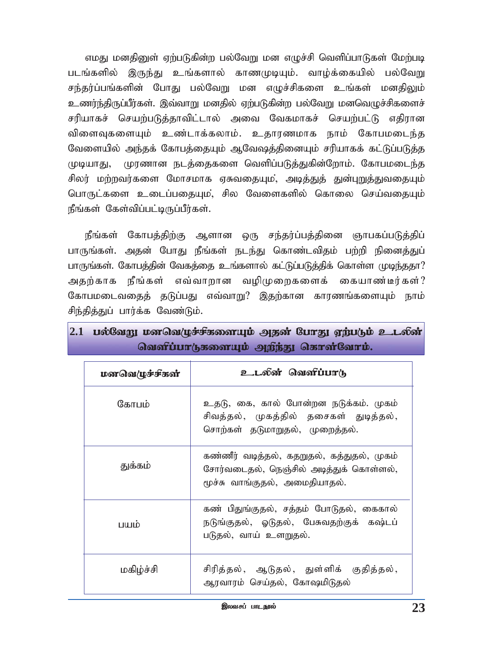எமது மனதினுள் ஏற்படுகின்ற பல்வேறு மன எழுச்சி வெளிப்பாடுகள் மேற்படி படங்களில் இருந்து உங்களால் காணமுடியும். வாழ்க்கையில் பல்வேறு சந்தர்ப்பங்களின் போது பல்வேறு மன எழுச்சிகளை உங்கள் மனதிலும் உணர்ந்திருப்பீர்கள். இவ்வாறு மனதில் ஏற்படுகின்ற பல்வேறு மனவெழுச்சிகளைச் சரியாகச் செயற்படுத்தாவிட்டால் அவை வேகமாகச் செயற்பட்டு எதிரான விளைவுகளையும் உண்டாக்கலாம். உதாரணமாக நாம் கோபமடைந்த வேளையில் அந்தக் கோபத்தையும் ஆவேஷத்தினையும் சரியாகக் கட்டுப்படுத்த முடியாது, முரணான நடத்தைகளை வெளிப்படுத்துகின்றோம். கோபமடைந்த சிலர் மற்றவர்களை மோசமாக ஏசுவதையும, அடித்துத் துன்புறுத்துவதையும் பொருட்களை உடைப்பதையும, சில வேளைகளில் கொலை செய்வதையும் நீங்கள் கேள்விப்பட்டிருப்பீர்கள்.

நீங்கள் கோபத்திற்கு ஆளான ஒரு சந்தர்ப்பத்தினை ஞாபகப்படுத்திப் பாருங்கள். அதன் போது நீங்கள் நடந்து கொண்டவிதம் பற்றி நினைத்துப் பாருங்கள். கோபத்தின் வேகத்தை உங்களால் கட்டுப்படுத்திக் கொள்ள முடிந்ததா? அதற்காக நீங்கள் எவ்வாறான வழிமுறைகளைக் கையாண்டீர்கள்? கோபமடைவதைத் தடுப்பது எவ்வாறு? இதற்கான காரணங்களையும் நாம் சிந்தித்துப் பார்க்க வேண்டும்.

| மனவெழுச்சிகள் | உடலின் வெளிப்பாடு                                                                                                      |
|---------------|------------------------------------------------------------------------------------------------------------------------|
| கோபம்         | உதடு, கை, கால் போன்றன நடுக்கம். முகம்<br>சிவத்தல், முகத்தில் தசைகள் துடித்தல்,<br>சொற்கள் தடுமாறுதல், முறைத்தல்.       |
| துக்கம்       | கண்ணீர் வடித்தல், கதறுதல், கத்துதல், முகம்<br>சோர்வடைதல், நெஞ்சில் அடித்துக் கொள்ளல்,<br>மூச்சு வாங்குதல், அமைதியாதல். |
| <b>TIUTIO</b> | கண் பிதுங்குதல், சத்தம் போடுதல், கைகால்<br>நடுங்குதல், ஓடுதல், பேசுவதற்குக் கஷ்டப்<br>படுதல், வாய் உளறுதல்.            |
| மகிழ்ச்சி     | சிரித்தல், ஆடுதல், துள்ளிக் குதித்தல்,<br>ஆரவாரம் செய்தல், கோஷமிடுதல்                                                  |

## 2.1 பல்வேறு மனவெழுச்சிகளையும் அதன் போது ஏற்படும் உடலின் வெளிப்பாடுகளையும் அறிந்து கொள்வோம்.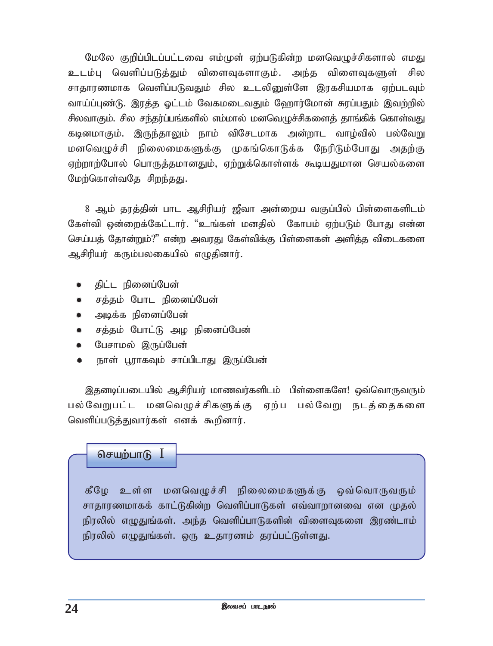மேலே குறிப்பிடப்பட்டவை எம்முள் ஏற்படுகின்ற மனவெழுச்சிகளால் எமது உடம்பு வெளிப்படுத்தும் விளைவுகளாகும். அந்த விளைவுகளுள் சில சாதாரணமாக வெளிப்படுவதும் சில உடலினுள்ளே இரகசியமாக ஏற்படவும் வாய்ப்புண்டு. இரத்த ஓட்டம் வேகமடைவதும் ஹோர்மோன் சுரப்பதும் இவற்றில் சிலவாகும். சில சந்தர்ப்பங்களில் எம்மால் மனவெழுச்சிகளைத் தாங்கிக் கொள்வது கடினமாகும். இருந்தாலும் நாம் விசேடமாக அன்றாட வாழ்வில் பல்வேறு மனவெழுச்சி நிலைமைகளுக்கு முகங்கொடுக்க நேரிடும்போது அதற்கு ஏற்றாற்போல் பொருத்தமானதும், ஏற்றுக்கொள்ளக் கூடியதுமான செயல்களை மேற்கொள்வதே சிறந்தது.

8 ஆம் தரத்தின் பாட ஆசிரியர் ஜீவா அன்றைய வகுப்பில் பிள்ளைகளிடம் கேள்வி ஒன்றைக்கேட்டார். "உங்கள் மனதில் கோபம் ஏற்படும் போது என்ன செய்யத் தோன்றும்?" என்ற அவரது கேள்விக்கு பிள்ளைகள் அளித்த விடைகளை ஆசிரியர் கரும்பலகையில் எழுதினார்.

- திட்ட நினைப்பேன்
- சத்தம் போட நினைப்பேன்
- அடிக்க நினைப்பேன் ₩.
- சத்தம் போட்டு அழ நினைப்பேன்
- பேசாமல் இருப்பேன்
- நாள் பூராகவும் சாப்பிடாது இருப்பேன்

இதனடிப்படையில் ஆசிரியர் மாணவர்களிடம் பிள்ளைகளே! ஒவ்வொருவரும் பல்வேறுபட்ட மனவெழுச்சிகளுக்கு ஏற்ப பல்வேறு நடத்தைகளை வெளிப்படுத்துவார்கள் எனக் கூறினார்.

#### செயற்பாடு  $I$

கீழே உள்ள மனவெழுச்சி நிலைமைகளுக்கு ஒவ்வொருவரும் சாதாரணமாகக் காட்டுகின்ற வெளிப்பாடுகள் எவ்வாறானவை என முதல் நிரலில் எழுதுங்கள். அந்த வெளிப்பாடுகளின் விளைவுகளை இரண்டாம் நிரலில் எழுதுங்கள். ஒரு உதாரணம் தரப்பட்டுள்ளது.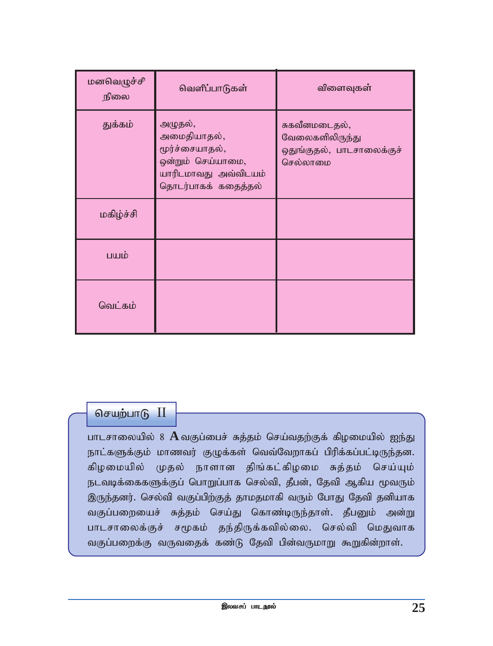| மனவெழுச்சி<br>நிலை | வெளிப்பாடுகள்                                                                                                | விளைவுகள்                                                                 |
|--------------------|--------------------------------------------------------------------------------------------------------------|---------------------------------------------------------------------------|
| துக்கம்            | அழுதல்,<br>அமைதியாதல்,<br>மூர்ச்சையாதல்,<br>ஒன்றும் செய்யாமை,<br>யாரிடமாவது அவ்விடயம்<br>தொடர்பாகக் கதைத்தல் | சுகவீனமடைதல்,<br>வேலைகளிலிருந்து<br>ஒதுங்குதல், பாடசாலைக்குச்<br>செல்லாமை |
| மகிழ்ச்சி          |                                                                                                              |                                                                           |
| பயம்               |                                                                                                              |                                                                           |
| வெட்கம்            |                                                                                                              |                                                                           |

செயற்பாடு $\text{II}$ 

பாடசாலையில் 8 A வகுப்பைச் சுத்தம் செய்வதற்குக் கிழமையில் ஐந்து நாட்களுக்கும் மாணவர் குழுக்கள் வெவ்வேறாகப் பிரிக்கப்பட்டிருந்தன. கிழமையில் முதல் நாளான திங்கட்கிழமை சுத்தம் செய்யும் நடவடிக்கைகளுக்குப் பொறுப்பாக செல்வி, தீபன், தேவி ஆகிய மூவரும் இருந்தனர். செல்வி வகுப்பிற்குத் தாமதமாகி வரும் போது தேவி தனியாக வகுப்பறையைச் சுத்தம் செய்து கொண்டிருந்தாள். தீபனும் அன்று பாடசாலைக்குச் சமூகம் தந்திருக்கவில்லை. செல்வி மெதுவாக வகுப்பறைக்கு வருவதைக் கண்டு தேவி பின்வருமாறு கூறுகின்றாள்.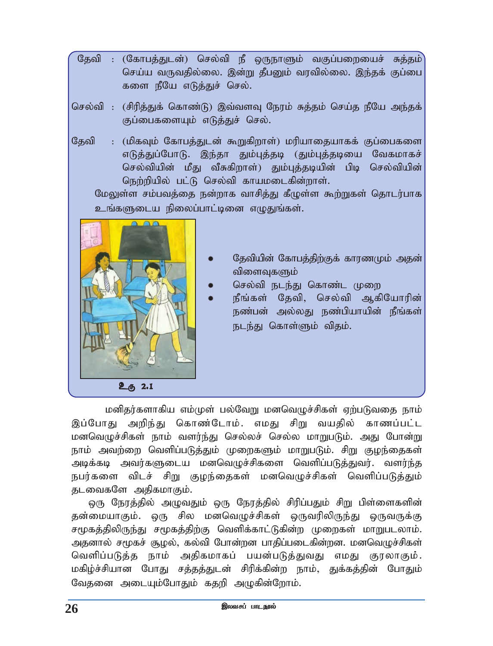- தேவி : (கோபத்துடன்) செல்வி நீ ஒருநாளும் வகுப்பறையைச் சுத்தம் செய்ய வருவதில்லை. இன்று தீபனும் வரவில்லை. இந்தக் குப்பை களை நீயே எடுத்துச் செல்.
- செல்வி : (சிரித்துக் கொண்டு) இவ்வளவு நேரம் சுத்தம் செய்த நீயே அந்தக் குப்பைகளையும் எடுத்துச் செல்.
- தேவி : (மிகவும் கோபத்துடன் கூறுகிறாள்) மரியாதையாகக் குப்பைகளை எடுத்துப்போடு. இந்தா தும்புத்தடி (தும்புத்தடியை வேகமாகச் செல்வியின் மீது வீசுகிறாள்) தும்புத்தடியின் பிடி செல்வியின் நெற்றியில் பட்டு செல்வி காயமடைகின்றாள்.

மேலுள்ள சம்பவத்தை நன்றாக வாசித்து கீழுள்ள கூற்றுகள் தொடர்பாக உங்களுடைய நிலைப்பாட்டினை எழுதுங்கள்.



- தேவியின் கோபத்திற்குக் காரணமும் அதன் விளைவுகளும்
- செல்வி நடந்து கொண்ட முறை
- நீங்கள் தேவி, செல்வி ஆகியோரின் நண்பன் அல்லது நண்பியாயின் நீங்கள் நடந்து கொள்ளும் விதம்.

மனிதர்களாகிய எம்முள் பல்வேறு மனவெழுச்சிகள் ஏற்படுவதை நாம் இப்போது அறிந்து கொண்டோம். எமது சிறு வயதில் காணப்பட்ட மனவெழுச்சிகள் நாம் வளர்ந்து செல்லச் செல்ல மாறுபடும். அது போன்று நாம் அவற்றை வெளிப்படுத்தும் முறைகளும் மாறுபடும். சிறு குழந்தைகள் அடிக்கடி அவர்களுடைய மனவெமுச்சிகளை வெளிப்படுத்துவர். வளர்ந்த நபர்களை விடச் சிறு குழந்தைகள் மனவெழுச்சிகள் வெளிப்படுத்தும் தடவைகளே அதிகமாகும்.

ஒரு நேரத்தில் அமுவதும் ஒரு நேரத்தில் சிரிப்பதும் சிறு பிள்ளைகளின் தன்மையாகும். ஒரு சில மனவெழுச்சிகள் ஒருவரிலிருந்து ஒருவருக்கு சமூகத்திலிருந்து சமூகத்திற்கு வெளிக்காட்டுகின்ற முறைகள் மாறுபடலாம். அதனால் சமூகச் சூழல், கல்வி போன்றன பாதிப்படைகின்றன. மனவெழுச்சிகள் வெளிப்படுத்த நாம் அதிகமாகப் பயன்படுத்துவது எமது குரலாகும். மகிழ்ச்சியான போது சத்தத்துடன் சிரிக்கின்ற நாம், துக்கத்தின் போதும் வேதனை அடையும்போதும் கதறி அழுகின்றோம்.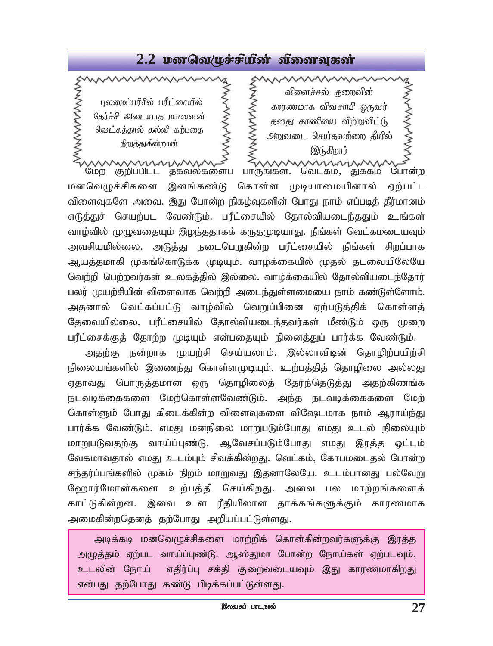# 2.2 **por Galy refusoir** almana sair

MANAMANANY ス<br>マンこくこくこくこくこく பலமைப்பரிசில் பரீட்சையில் தேர்ச்சி அடையாத மாணவன் <u>வெட்கத்தால்</u> கல்வி கற்பதை நிறுத்துகின்றான்

WWWWWW **SERVANANT** விளைச்சல் குறைவின் காரணமாக விவசாயி ஒருவர் தனது காணியை விற்றுவி $\dot{L}$ டு அறுவடை செய்தவற்றை தீயில் இடுகிறார் mmmmm

மேற் குறிப்பிட்ட தகவல்களைப் பாருங்கள். வெட்கம், துக்கம் போன்ற மனவெழுச்சிகளை இனங்கண்டு கொள்ள முடியாமையினால் ஏற்பட்ட விளைவுகளே அவை. இது போன்ற நிகழ்வுகளின் போது நாம் எப்படித் தீர்மானம் எடுத்துச் செயற்பட வேண்டும். பரீட்சையில் தோல்வியடைந்ததும் உங்கள் வாழ்வில் முழுவதையும் இழந்ததாகக் கருதமுடியாது. நீங்கள் வெட்கமடையவும் அவசியமில்லை. அடுத்து நடைபெறுகின்ற பரீட்சையில் நீங்கள் சிறப்பாக ஆயத்தமாகி முகங்கொடுக்க முடியும். வாழ்க்கையில் முதல் தடவையிலேயே வெற்றி பெற்றவர்கள் உலகத்தில் இல்லை. வாழ்க்கையில் தோல்வியடைந்தோர் பலர் முயற்சியின் விளைவாக வெற்றி அடைந்துள்ளமையை நாம் கண்டுள்ளோம். அதனால் வெட்கப்பட்டு வாழ்வில் வெறுப்பினை ஏற்படுத்திக் கொள்ளத் தேவையில்லை. பரீட்சையில் தோல்வியடைந்தவர்கள் மீண்டும் ஒரு முறை பரீட்சைக்குத் தோற்ற முடியும் என்பதையும் நினைத்துப் பார்க்க வேண்டும்.

அதற்கு நன்றாக முயற்சி செய்யலாம். இல்லாவிடின் தொழிற்பயிற்சி நிலையங்களில் இணைந்து கொள்ளமுடியும். உற்பத்தித் தொழிலை அல்லது ஏதாவது பொருத்தமான ஒரு தொழிலைத் தேர்ந்தெடுத்து அதற்கிணங்க நடவடிக்கைகளை மேற்கொள்ளவேண்டும். அந்த நடவடிக்கைகளை மேற் கொள்ளும் போது கிடைக்கின்ற விளைவுகளை விஷேடமாக நாம் ஆராய்ந்து பார்க்க வேண்டும். எமது மனநிலை மாறுபடும்போது எமது உடல் நிலையும் மாறுபடுவதற்கு வாய்ப்புண்டு. ஆவேசப்படும்போது எமது இரத்த ஓட்டம் வேகமாவதால் எமது உடம்பும் சிவக்கின்றது. வெட்கம், கோபமடைதல் போன்ற சந்தர்ப்பங்களில் முகம் நிறம் மாறுவது இதனாலேயே. உடம்பானது பல்வேறு ஹோர்மோன்களை உற்பத்தி செய்கிறது. அவை பல மாற்றங்களைக் காட்டுகின்றன. இவை உள ரீதியிலான தாக்கங்களுக்கும் காரணமாக அமைகின்றதெனத் தற்போது அறியப்பட்டுள்ளது.

அடிக்கடி மனவெழுச்சிகளை மாற்றிக் கொள்கின்றவர்களுக்கு இரத்த அழுத்தம் ஏற்பட வாய்ப்புண்டு. ஆஸ்துமா போன்ற நோய்கள் ஏற்படவும், உடலின் நோய் எதிர்ப்பு சக்தி குறைவடையவும் இது காரணமாகிறது என்பது தற்போது கண்டு பிடிக்கப்பட்டுள்ளது.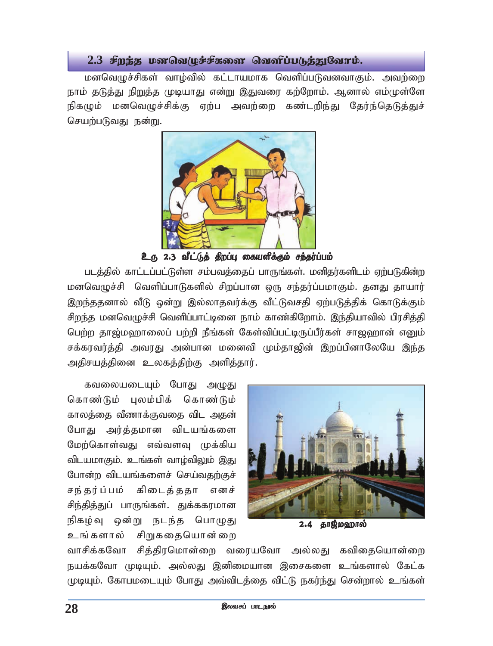#### $2.3$  சீறந்த மனவெ/ழச்சீகளை வெளிப்படுத்துவோம்.

மனவெழுச்சிகள் வாழ்வில் கட்டாயமாக வெளிப்படுவனவாகும். அவற்றை நாம் தடுத்து நிறுத்த முடியாது என்று இதுவரை கற்றோம். ஆனால் எம்முள்ளே நிகழும் மனவெழுச்சிக்கு ஏற்ப அவற்றை கண்டறிந்து தேர்ந்தெடுத்துச் செயற்படுவது நன்று.



உரு 2.3 வீட்டுத் திறப்பு கையளிக்கும் சந்தர்ப்பம்

படத்தில் காட்டப்பட்டுள்ள சம்பவத்தைப் பாருங்கள். மனிதர்களிடம் ஏற்படுகின்ற மனவெழுச்சி வெளிப்பாடுகளில் சிறப்பான ஒரு சந்தர்ப்பமாகும். தனது தாயார் இறந்ததனால் வீடு ஒன்று இல்லாதவர்க்கு வீட்டுவசதி ஏற்படுத்திக் கொடுக்கும் சிறந்த மனவெழுச்சி வெளிப்பாட்டினை நாம் காண்கிறோம். இந்தியாவில் பிரசித்தி பெற்ற தாஜ்மஹாலைப் பற்றி நீங்கள் கேள்விப்பட்டிருப்பீர்கள் சாஜஹான் எனும் சக்கரவர்த்தி அவரது அன்பான மனைவி மும்தாஜின் இறப்பினாலேயே இந்த அதிசயத்தினை உலகத்திற்கு அளித்தார்.



 $2.4$ தாஜ்மஹால்

கவலையடையும் போது அழுது கொண்டும் புலம்பிக் கொண்டும் காலத்தை வீணாக்குவதை விட அதன் போது அர்த்தமான விடயங்களை மேற்கொள்வது எவ்வளவு முக்கிய விடயமாகும். உங்கள் வாழ்விலும் இது போன்ற விடயங்களைச் செய்வதற்குச் சந்தர்ப்பம் கிடைத்ததா எனச் சிந்தித்துப் பாருங்கள். துக்ககரமான நிகழ்வு ஒன்று நடந்த பொழுது உங்களால் சிறுகதையொன்றை

வாசிக்கவோ சித்திரமொன்றை வரையவோ அல்லது கவிதையொன்றை நயக்கவோ முடியும். அல்லது இனிமையான இசைகளை உங்களால் கேட்க முடியும். கோபமடையும் போது அவ்விடத்தை விட்டு நகர்ந்து சென்றால் உங்கள்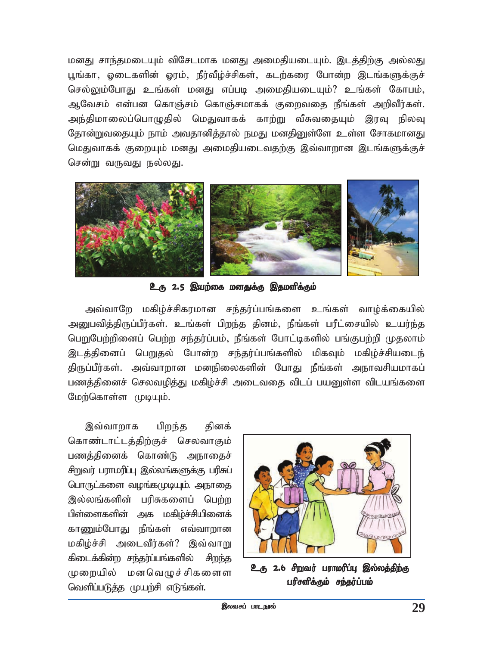மனது சாந்தமடையும் விசேடமாக மனது அமைதியடையும். இடத்திற்கு அல்லது புங்கா, லைடகளின் லாம், நீர்வீழ்ச்சிகள், கடற்கரை போன்ற இடங்களுக்குச் செல்லும்போது உங்கள் மனது எப்படி அமைதியடையும்? உங்கள் கோபம், ஆவேசம் என்பன கொஞ்சம் கொஞ்சமாகக் குறைவதை நீங்கள் அறிவீர்கள். அந்திமாலைப்பொழுதில் மெதுவாகக் காற்று வீசுவதையும் இரவு நிலவு தோன்றுவதையும் நாம் அவதானித்தால் நமது மனதினுள்ளே உள்ள சோகமானது மெதுவாகக் குறையும் மனது அமைதியடைவதற்கு இவ்வாறான இடங்களுக்குச் சென்று வருவது நல்லது.



உரு 2.5 இயற்கை மனதுக்கு இதமளிக்கும்

அவ்வாறே மகிழ்ச்சிகரமான சந்தர்ப்பங்களை உங்கள் வாழ்க்கையில் அனுபவித்திருப்பீர்கள். உங்கள் பிறந்த தினம், நீங்கள் பரீட்சையில் உயர்ந்த பெறுபேற்றினைப் பெற்ற சந்தர்ப்பம், நீங்கள் போட்டிகளில் பங்குபற்றி முதலாம் இடத்தினைப் பெறுதல் போன்ற சந்தர்ப்பங்களில் மிகவும் மகிழ்ச்சியடைந் திருப்பீர்கள். அவ்வாறான மனநிலைகளின் போது நீங்கள் அநாவசியமாகப் பணக்கினைச் செலவமிக்கு மகிழ்ச்சி அடைவதை விடப் பயனுள்ள விடயங்களை மேற்கொள்ள முடியும்.

இவ்வாறாக பிறந்த தினக் கொண்டாட்டத்திற்குச் செலவாகும் பணத்தினைக் கொண்டு அநாதைச் சிறுவர் பராமரிப்பு இல்லங்களுக்கு பரிசுப் பொருட்களை வழங்கமுடியும். அநாதை இல்லங்களின் பரிசுகளைப் பெற்ற பிள்ளைகளின் அக மகிழ்ச்சியினைக் காணும்போது நீங்கள் எவ்வாறான மகிழ்ச்சி அடைவீர்கள்? இவ்வாறு கிடைக்கின்ற சந்தர்ப்பங்களில் சிறந்த முறையில் மனவெழுச்சிகளைள வெளிப்படுத்த முயற்சி எடுங்கள்.



உரு 2.6 சிறவர் பராமரிப்பு இல்லத்திற்கு பரிசளிக்கும் சந்தர்ப்பம்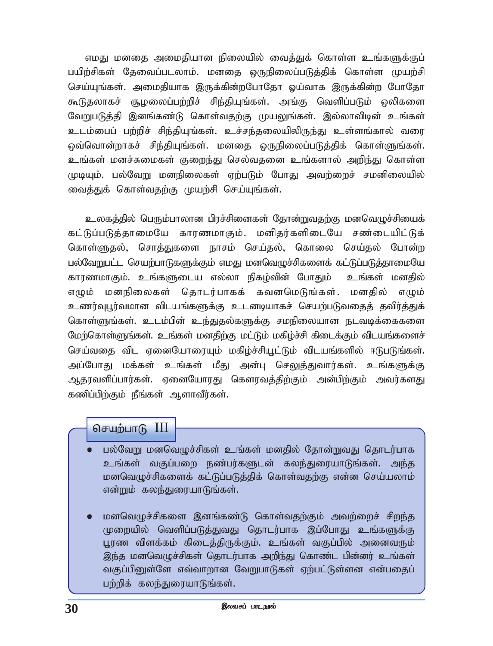எமது மனதை அமைதியான நிலையில் வைத்துக் கொள்ள உங்களுக்குப் பயிற்சிகள் கேவைப்படலாம். மனகை ஒருநிலைப்படுக்கிக் கொள்ள முயற்சி செய்யுங்கள். அமைதியாக இருக்கின்றபோதோ ஓய்வாக இருக்கின்ற போதோ கூடுதலாகச் சூழலைப்பற்றிச் சிந்தியுங்கள். அங்கு வெளிப்படும் ஒலிகளை வேறுபடுத்தி இனங்கண்டு கொள்வதற்கு முயலுங்கள். இல்லாவிடின் உங்கள் உடம்பைப் பற்றிச் சிந்தியுங்கள். உச்சந்தலையிலிருந்து உள்ளங்கால் வரை ஒவ்வொன்றாகச் சிந்தியுங்கள். மனதை ஒருநிலைப்படுத்திக் கொள்ளுங்கள். உங்கள் மனச்சுமைகள் குறைந்து செல்வதனை உங்களால் அறிந்து கொள்ள முடியும். பல்வேறு மனநிலைகள் ஏற்படும் போது அவற்றைச் சமனிலையில் வைத்துக் கொள்வதற்கு முயற்சி செய்யுங்கள்.

உலகத்தில் பெரும்பாலான பிரச்சினைகள் தோன்றுவதற்கு மனவெழுச்சியைக் கட்டுப்படுத்தாமையே காரணமாகும். மனிதர்களிடையே சண்டையிட்டுக் கொள்ளுகல், சொக்குகளை நாசம் செய்கல், கொலை செய்கல் போன்ற பல்வேறுபட்ட செயற்பாடுகளுக்கும் எமது மனவெழுச்சிகளைக் கட்டுப்படுத்தாமையே காரணமாகும். உங்களுடைய எல்லா நிகழ்வின் போதும் உங்கள் மனகில் எழும் மனநிலைகள் தொடர்பாகக் கவனமெடுங்கள். மனதில் எழும் உணர்வுபூர்வமான விடயங்களுக்கு உடனடியாகச் செயற்படுவதைத் தவிர்த்துக் கொள்ளுங்கள். உடம்பின் உந்துதல்களுக்கு சமநிலையான நடவடிக்கைகளை மேற்கொள்ளுங்கள். உங்கள் மனதிற்கு மட்டும் மகிழ்ச்சி கிடைக்கும் விடயங்களைச் செய்வதை விட ஏனையோரையும் மகிழ்ச்சியூட்டும் விடயங்களில் ஈடுபடுங்கள். அப்போது மக்கள் உங்கள் மீது அன்பு செலுத்துவார்கள். உங்களுக்கு ஆதரவளிப்பார்கள். ஏனையோரது கௌரவத்திற்கும் அன்பிற்கும் அவர்களது கணிப்பிற்கும் நீங்கள் ஆளாவீர்கள்.

#### செயற்பாடு  $III$

- பல்வேறு மனவெழுச்சிகள் உங்கள் மனதில் தோன்றுவது தொடர்பாக உங்கள் வகுப்பறை நண்பர்களுடன் கலந்துரையாடுங்கள். அந்த மனவெழுச்சிகளைக் கட்டுப்படுத்திக் கொள்வதற்கு என்ன செய்யலாம் என்றும் கலந்துரையாடுங்கள்.
- மனவெழுச்சிகளை இனங்கண்டு கொள்வதற்கும் அவற்றைச் சிறந்த முறையில் வெளிப்படுத்துவது தொடர்பாக இப்போது உங்களுக்கு பூரண விளக்கம் கிடைத்திருக்கும். உங்கள் வகுப்பில் அனைவரும் இந்த மனவெழுச்சிகள் தொடர்பாக அறிந்து கொண்ட பின்னர் உங்கள் வகுப்பினுள்ளே எவ்வாறான வேறுபாடுகள் ஏற்பட்டுள்ளன என்பதைப் பற்றிக் கலந்துரையாடுங்கள்.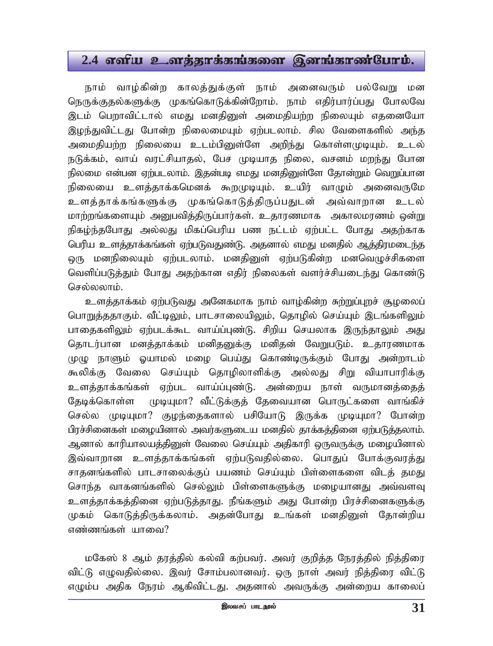## 2.4 எளிய உளத்தாக்கங்களை இனங்காண்போம்.

நாம் வாழ்கின்ற காலத்துக்குள் நாம் அனைவரும் பல்வேறு மன நெருக்குதல்களுக்கு முகங்கொடுக்கின்றோம். நாம் எதிர்பார்ப்பது போலவே இடம் பெறாவிட்டால் எமது மனதினுள் அமைதியற்ற நிலையும் எதனையோ இழந்துவிட்டது போன்ற நிலைமையும் ஏற்படலாம். சில வேளைகளில் அந்த அமைதியற்ற நிலையை உடம்பினுள்ளே அறிந்து கொள்ளமுடியும். உடல் நடுக்கம், வாய் வரட்சியாதல், பேச முடியாத நிலை, வசனம் மறந்து போன நிலமை என்பன ஏற்படலாம். இதன்படி எமது மனதினுள்ளே தோன்றும் வெறுப்பான நிலையை உளத்தாக்கமெனக் கூறமுடியும். உயிர் வாழும் அனைவருமே உளத்தாக்கங்களுக்கு முகங்கொடுத்திருப்பதுடன் அவ்வாறான உடல் மாற்றங்களையும் அனுபவிக்கிருப்பார்கள். உதாரணமாக அகாலமாணம் ஒன்று நிகழ்ந்தபோது அல்லது மிகப்பெரிய பண நட்டம் ஏற்பட்ட போது அதற்காக பெரிய உளத்தாக்கங்கள் ஏற்படுவதுண்டு. அதனால் எமது மனதில் ஆத்திரமடைந்த ஒரு மனநிலையும் ஏற்படலாம். மனதினுள் ஏற்படுகின்ற மனவெழுச்சிகளை வெளிப்படுத்தும் போது அதற்கான எதிர் நிலைகள் வளர்ச்சியடைந்து கொண்டு செல்லலாம்.

உளத்தாக்கம் ஏற்படுவது அனேகமாக நாம் வாழ்கின்ற சுற்றுப்புறச் சூழலைப் பொறுத்ததாகும். வீட்டிலும், பாடசாலையிலும், தொழில் செய்யும் இடங்களிலும் பாதைகளிலும் ஏற்படக்கூட வாய்ப்புண்டு. சிறிய செயலாக இருந்தாலும் அது தொடர்பான மனத்தாக்கம் மனிதனுக்கு மனிதன் வேறுபடும். உதாரணமாக முழு நாளும் ஓயாமல் மழை பெய்து கொண்டிருக்கும் போது அன்றாடம் கூலிக்கு வேலை செய்யும் தொழிலாளிக்கு அல்லது சிறு வியாபாரிக்கு உளத்தாக்கங்கள் ஏற்பட வாய்ப்புண்டு. அன்றைய நாள் வருமானத்தைத் தேடிக்கொள்ள முடியுமா? வீட்டுக்குத் தேவையான பொருட்களை வாங்கிச் செல்ல முடியுமா? குழந்தைகளால் பசியோடு இருக்க முடியுமா? போன்ற பிரச்சினைகள் மழையினால் அவர்களுடைய மனதில் தாக்கத்தினை ஏற்படுத்தலாம். ஆனால் காரியாலயத்தினுள் வேலை செய்யும் அதிகாரி ஒருவருக்கு மழையினால் இவ்வாறான உளத்தாக்கங்கள் ஏற்படுவதில்லை. பொதுப் போக்குவரத்து சாதனங்களில் பாடசாலைக்குப் பயணம் செய்யும் பிள்ளைகளை விடத் தமது சொந்த வாகனங்களில் செல்லும் பிள்ளைகளுக்கு மழையானது அவ்வளவு உளத்தாக்கத்தினை ஏற்படுத்தாது. நீங்களும் அது போன்ற பிரச்சினைகளுக்கு முகம் கொடுத்திருக்கலாம். அதன்போது உங்கள் மனதினுள் தோன்றிய எண்ணங்கள் யாவை?

மகேஸ் 8 ஆம் தரத்தில் கல்வி கற்பவர். அவர் குறித்த நேரத்தில் நித்திரை விட்டு எழுவதில்லை. இவர் சோம்பலானவர். ஒரு நாள் அவர் நித்திரை விட்டு எழும்ப அதிக நேரம் ஆகிவிட்டது. அதனால் அவருக்கு அன்றைய காலைப்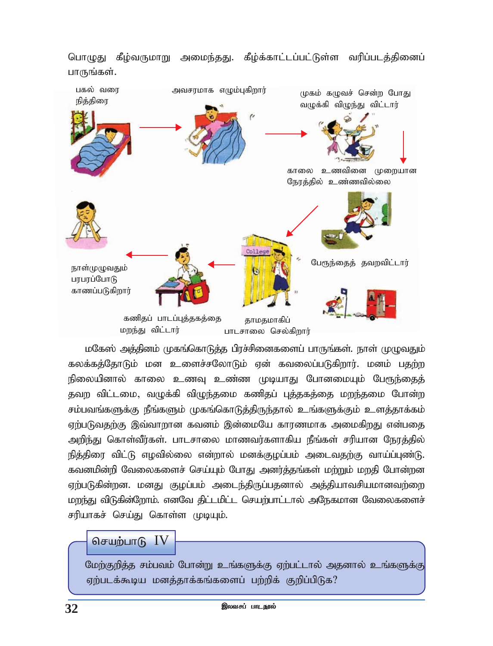

பொழுது கீழ்வருமாறு அமைந்தது. கீழ்க்காட்டப்பட்டுள்ள வரிப்படத்தினைப் பாருங்கள்.

மகேஸ் அத்தினம் முகங்கொடுத்த பிரச்சினைகளைப் பாருங்கள். நாள் முழுவதும் கலக்கத்தோடும் மன உளைச்சலோடும் ஏன் கவலைப்படுகிறார். மனம் ப<u>தற்ற</u> நிலையினால் காலை உணவு உண்ண முடியாது போனமையும் பேரூந்தைத் தவற விட்டமை, வழுக்கி விழுந்தமை கணிதப் புத்தகத்தை மறந்தமை போன்ற *rk;gtq;fSf;F ePq;fSk; Kfq;nfhLj;jpUe;jhy; cq;fSf;Fk; csj;jhf;fk;* ஏற்படுவதற்கு இவ்வாறான கவனம் இன்மையே காரணமாக அமைகிறது என்பதை அறிந்து கொள்வீர்கள். பாடசாலை மாணவர்களாகிய நீங்கள் சரியான நேரத்தில் நித்திரை விட்டு எழவில்லை என்றால் மனக்குழப்பம் அடைவதற்கு வாய்ப்புண்டு. *ftdkpd;wp Ntiyfisr; nra;Ak; NghJ mdu;j;jq;fs; kw;Wk; kwjp Nghd;wd* ஏற்படுகின்றன. மனது குழப்பம் அடைந்திருப்பதனால் அத்தியாவசியமானவற்றை மறந்து விடுகின்றோம். எனவே திட்டமிட்ட செயற்பாட்டால் அநேகமான வேலைகளைச் சரியாகச் செய்து கொள்ள முடியும்.

## செயற்பாடு  $IV$

மேற்குறித்த சம்பவம் போன்று உங்களுக்கு ஏற்பட்டால் அதனால் உங்களுக்கு ஏற்படக்கூடிய மனத்தாக்கங்களைப் பற்றிக் குறிப்பிடுக?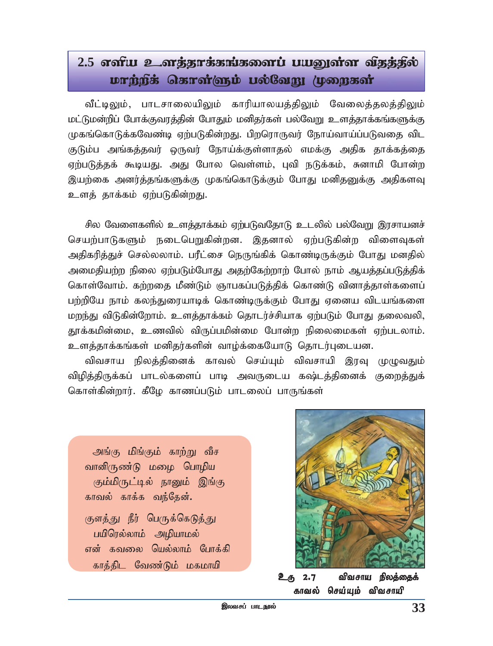# 2.5 ganu உனத்தூக்கங்களைப் பயனுள்ள விதத்தில் urng: darmighi ung kami (ummani

வீட்டிலும், பாடசாலையிலும் காரியாலயத்திலும் வேலைத்தலத்திலும் மட்டுமன்றிப் போக்குவரத்தின் போதும் மனிதர்கள் பல்வேறு உளத்தாக்கங்களுக்கு முகங்கொடுக்கவேண்டி ஏற்படுகின்றது. பிறரொருவர் நோய்வாய்ப்படுவதை விட குடும்ப அங்கத்தவர் ஒருவர் நோய்க்குள்ளாதல் எமக்கு அதிக தாக்கத்தை ஏற்படுத்தக் கூடியது. அது போல வெள்ளம், புவி நடுக்கம், சுனாமி போன்ற இயற்கை அனர்த்தங்களுக்கு முகங்கொடுக்கும் போது மனிதனுக்கு அதிகளவு உளத் தாக்கம் ஏற்படுகின்<u>றத</u>ு.

சில வேளைகளில் உளத்தாக்கம் ஏற்படுவதோடு உடலில் பல்வேறு இரசாயனச் செயற்பாடுகளும் நடைபெறுகின்றன. இதனால் ஏற்படுகின்ற விளைவுகள் அதிகரித்துச் செல்லலாம். பரீட்சை நெருங்கிக் கொண்டிருக்கும் போது மனதில் அமைதியற்ற நிலை ஏற்படும்போது அதற்கேற்றாற் போல் நாம் ஆயத்தப்படுத்திக் கொள்வோம். கற்றதை மீண்டும் ஞாபகப்படுத்திக் கொண்டு வினாத்தாள்களைப் பற்றியே நாம் கலந்துரையாடிக் கொண்டிருக்கும் போது ஏனைய விடயங்களை மறந்து விடுகின்றோம். உளத்தாக்கம் தொடர்ச்சியாக ஏற்படும் போது தலைவலி, தூக்கமின்மை, உணவில் விருப்பமின்மை போன்ற நிலைமைகள் ஏற்படலாம். உளத்தாக்கங்கள் மனிதர்களின் வாழ்க்கையோடு தொடர்புடையன.

விவசாய நிலத்தினைக் காவல் செய்யும் விவசாயி இரவு முழுவதும் விழித்திருக்கப் பாடல்களைப் பாடி அவருடைய கஷ்டத்தினைக் குறைத்துக் கொள்கின்றார். கீழே காணப்படும் பாடலைப் பாருங்கள்

அங்கு மிங்கும் காற்று வீச வானிருண்டு மழை பொழிய கும்மிருட்டில் நானும் இங்கு காவல் காக்க வந்தேன். குளத்து நீர் பெருக்கெடுத்து பயிரெல்லாம் அழியாமல் என் கவலை யெல்லாம் போக்கி காத்திட வேண்டும் மகமாயி



உரு 2.7 விவசாய நிலத்தைக் காவல் செய்யும் விவசாயி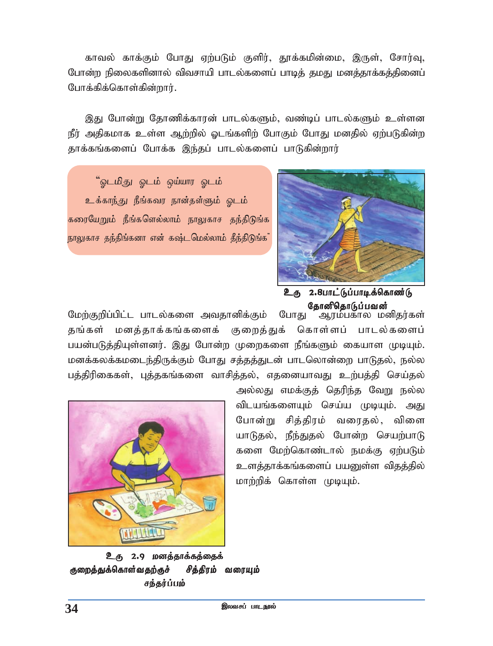காவல் காக்கும் போது ஏற்படும் குளிர், தூக்கமின்மை, இருள், சோர்வு, *Nghd;w epiyfspdhy; tptrhap ghly;fisg; ghbj; jkJ kdj;jhf;fj;jpidg; Nghf;fpf;nfhs;fpd;whu;.*

<u>இது</u> போன்று தோணிக்காரன் பாடல்களும், வண்டிப் பாடல்களும் உள்ளன நீர் அதிகமாக உள்ள ஆற்றில் ஓடங்களிற் போகும் போது மனதில் ஏற்படுகின்ற தாக்கங்களைப் போக்க இந்தப் பாடல்களைப் பாடுகின்றார்

 $\degree$ ஒடமிது ஒடம் ஒய்யார ஒடம் உக்காந்து நீங்கவர நான்தள்ளும் ஓடம் கரையேறும் நீங்களெல்லாம் நாலுகாச தந்திடுங்க நாலுகாச தந்திங்கனா என் கஷ்டமெல்லாம் தீந்திடுங்க



உரு 2.8பாட்டுப்பாடிக்கொண்டு தோனிதொடுப்பவன்

மேற்குறிப்பிட்ட பாடல்களை அவதானிக்கும் போது ஆரம்பகால மனிதர்கள் தங்கள் மனத்தாக்கங்களைக் குறைத்துக் கொள்ளப் பாடல்களைப் பயன்படுத்தியுள்ளனர். இது போன்ற முறைகளை நீங்களும் கையாள முடியும். மனக்கலக்கமடைந்திருக்கும் போது சத்தத்துடன் பாடலொன்றை பாடுதல், நல்ல பத்திரிகைகள், புத்தகங்களை வாசித்தல், எதனையாவது உற்பத்தி செய்தல்

> அல்லது எமக்குத் தெரிந்த வேறு நல்ல விடயங்களையும் செய்ய முடியும். அது போன்று சித்திரம் வரைதல், விளை யாடுதல், நீந்துதல் போன்ற செயற்பாடு களை மேற்கொண்டால் நமக்கு ஏற்படும் உளத்தாக்கங்களைப் பயனுள்ள விதத்தில் *khw;wpf; nfhs;s KbAk;.*



உரு 2.9 மனத்தாக்கத்தைக் குறைத்துக்கொள்வதற்குச் சித்திரம் வரையும் சந்தர்ப்பம்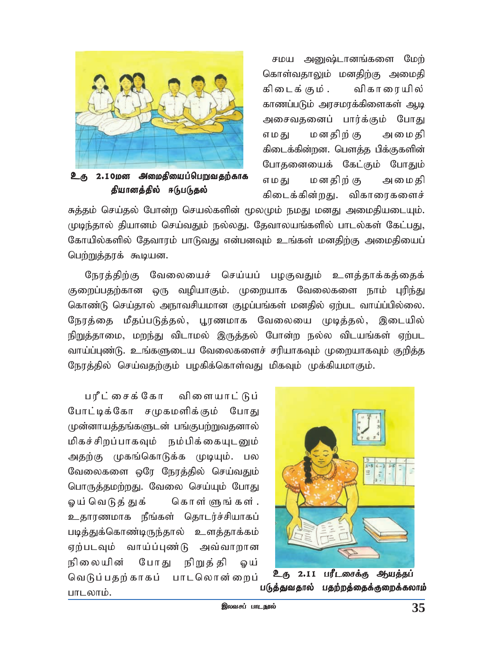

**உரு 2.10மன அமைதியைப்பெறுவதற்காக** தியானத்தில் ஈடுபடுதல்

சமய அனுஷ்டானங்களை மேற் கொள்வதாலும் மனதிற்கு அமைதி கிடைக் கும் . விகாரையில் காணப்படும் அரசமரக்கிளைகள் ஆடி அசைவதனைப் பார்க்கும் போது மனதிற் கு எமகு அமைகி கிடைக்கின்றன. பௌத்த பிக்குகளின் போதனையைக் கேட்கும் போதும் எமகு மனகிற் கு அமைகி கிடைக்கின்றது. விகாரைகளைச்

சுத்தம் செய்தல் போன்ற செயல்களின் மூலமும் நமது மனது அமைதியடையும். முடிந்தால் தியானம் செய்வதும் நல்லது. தேவாலயங்களில் பாடல்கள் கேட்பது, கோயில்களில் தேவாரம் பாடுவது என்பனவும் உங்கள் மனதிற்கு அமைதியைப் பெற்றுத்தரக் கூடியன.

நேரத்திற்கு வேலையைச் செய்யப் பழகுவதும் உளத்தாக்கத்தைக் குறைப்பதற்கான ஒரு வழியாகும். முறையாக வேலைகளை நாம் பரிந்து கொண்டு செய்தால் அநாவசியமான குழப்பங்கள் மனதில் ஏற்பட வாய்ப்பில்லை. நேரத்தை மீதப்படுத்தல், பூரணமாக வேலையை முடித்தல், இடையில் நிறுத்தாமை, மறந்து விடாமல் இருத்தல் போன்ற நல்ல விடயங்கள் ஏற்பட வாய்ப்புண்டு. உங்களுடைய வேலைகளைச் சரியாகவும் முறையாகவும் குறித்த நேரத்தில் செய்வதற்கும் பழகிக்கொள்வது மிகவும் முக்கியமாகும்.

பரீட்சைக்கோ விளையாட்டுப் போட்டிக்கோ சமுகமளிக்கும் போது முன்னாயத்தங்களுடன் பங்குபற்றுவதனால் மிகச்சிறப்பாகவும் நம்பிக்கையுடனும் அதற்கு முகங்கொடுக்க முடியும். பல வேலைகளை ஒரே நேரத்தில் செய்வதும் பொருத்தமற்றது. வேலை செய்யும் போது ஓய் வெடுத் துக் கொள்ளுங்கள். உதாரணமாக நீங்கள் தொடர்ச்சியாகப் படித்துக்கொண்டிருந்தால் உளத்தாக்கம் ஏற்படவும் வாய்ப்புண்டு அவ்வாறான நிலையின் போது நிறுத்தி லய் வெடுப்பதற்காகப் பாடலொன்றைப் பாடலாம்.



உரு 2.11 பரீடசைக்கு *ஆ*யத்தப் படுத்துவதால் பதற்றத்தைக்குறைக்கலாம்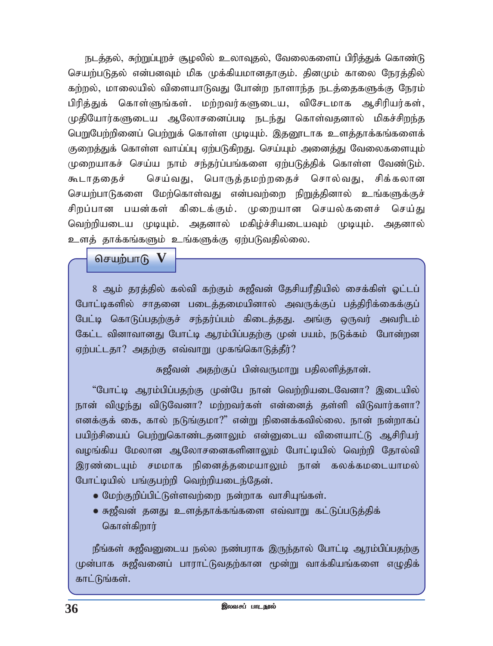நடத்தல், சுற்றுப்புறச் சூழலில் உலாவுதல், வேலைகளைப் பிரித்துக் கொண்டு செயற்படுதல் என்பனவும் மிக முக்கியமானதாகும். தினமும் காலை நேரத்தில் கற்றல், மாலையில் விளையாடுவது போன்ற நாளாந்த நடத்தைகளுக்கு நேரம் பிரித்துக் கொள்ளுங்கள். மற்றவர்களுடைய, விசேடமாக ஆசிரியர்கள், *KjpNahu;fSila MNyhridg;gb ele;J nfhs;tjdhy; kpfr;rpwe;j ngWNgw;wpidg; ngw;Wf; nfhs;s KbAk;. ,jD}lhf csj;jhf;fq;fisf;* குறைத்துக் கொள்ள வாய்ப்பு ஏற்படுகிறது. செய்யும் அனைத்து வேலைகளையும் முறையாகச் செய்ய நாம் சந்தர்ப்பங்களை ஏற்படுத்திக் கொள்ள வேண்டும். கூடாததைச் செய்வது, பொருத்தமற்றதைச் சொல்வது, சிக்கலான செயற்பாடுகளை மேற்கொள்வது என்பவற்றை நிறுத்தினால் உங்களுக்குச் சிறப்பான பயன்கள் கிடைக்கும். முறையான செயல்களைச் செய்<u>து</u> வெற்றியடைய முடியும். அதனால் மகிழ்ச்சியடையவும் முடியும். அதனால் உளத் தாக்கங்களும் உங்களுக்கு ஏற்படுவதில்லை.

 $\theta$ சயற்பாடு  $\bf V$ 

8 ஆம் தரத்தில் கல்வி கற்கும் சுஜீவன் தேசியரீதியில் சைக்கிள் ஓட்டப் போட்டிகளில் சாதனை படைத்தமையினால் அவருக்குப் பத்திரிக்கைக்குப் பேட்டி கொடுப்பதற்குச் சந்தர்ப்பம் கிடைத்தது. அங்கு ஒருவர் அவரிடம் கேட்ட வினாவானது போட்டி ஆரம்பிப்பதற்கு முன் பயம், நடுக்கம் போன்றன ஏற்பட்டதா? அதற்கு எவ்வாறு முகங்கொடுத்தீர்?

*R[Ptd; mjw;Fg; gpd;tUkhW gjpyspj;jhd;.*

*'Nghl;b Muk;gpg;gjw;F Kd;Ng ehd; ntw;wpailNtdh? ,ilapy;* நான் விழுந்து விடுவேனா? மற்றவர்கள் என்னைத் தள்ளி விடுவார்களா? எனக்குக் கை, கால் நடுங்குமா?" என்று நினைக்கவில்லை. நான் நன்றாகப் பயிற்சியைப் பெற்றுகொண்டதனாலும் என்னுடைய விளையாட்டு ஆசிரியர் வழங்கிய மேலான ஆலோசனைகளினாலும் போட்டியில் வெற்றி தோல்வி இரண்டையும் சமமாக நினைத்தமையாலும் நான் கலக்கமடையாமல் போட்டியில் பங்குபற்றி வெற்றியடைந்தேன்.

- ® *Nkw;Fwpg;gpl;Ls;stw;iw ed;whf thrpAq;fs;.*
- ® *R[Ptd; jdJ csj;jhf;fq;fis vt;thW fl;Lg;gLj;jpf;* கொள்கிறார்

நீங்கள் சுஜீவனுடைய நல்ல நண்பராக இருந்தால் போட்டி ஆரம்பிப்பதற்கு முன்பாக சுஜீவனைப் பாராட்டுவதற்கான மூன்று வாக்கியங்களை எழுதிக் காட்டுங்கள்.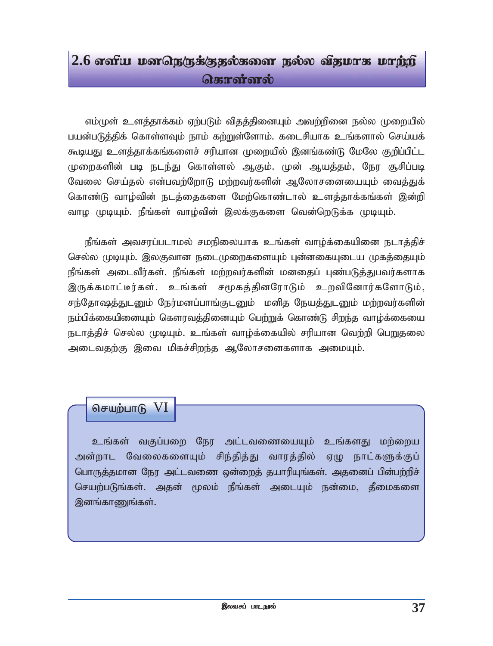# $2.6$  எளிய மனநெருக்குதல்களை நல்ல விதமாக மாற்றி **கொள்ளல்**

எம்முள் உளத்தாக்கம் ஏற்படும் விதத்தினையும் அவற்றினை நல்ல முறையில் பயன்படுத்திக் கொள்ளவும் நாம் கற்றுள்ளோம். கடைசியாக உங்களால் செய்யக் கூடியது உளக்தாக்கங்களைச் சரியான முறையில் இனங்கண்டு மேலே குறிப்பிட்ட முறைகளின் படி நடந்து கொள்ளல் ஆகும். முன் ஆயத்தம், நேர சூசிப்படி வேலை செய்தல் என்பவற்றோடு மற்றவர்களின் ஆலோசனையையும் வைத்துக் கொண்டு வாழ்வின் நடத்தைகளை மேற்கொண்டால் உளத்தாக்கங்கள் இன்றி வாழ முடியும். நீங்கள் வாழ்வின் இலக்குகளை வென்றெடுக்க முடியும்.

நீங்கள் அவசரப்படாமல் சமநிலையாக உங்கள் வாழ்க்கையினை நடாத்திச் செல்ல முடியும். இலகுவான நடைமுறைகளையும் புன்னகையுடைய முகத்தையும் நீங்கள் அடைவீர்கள். நீங்கள் மற்றவர்களின் மனதைப் புண்படுத்துபவர்களாக இருக்கமாட்டீர்கள். உங்கள் சமூகக்கினரோடும் உறவினோர்களோடும், சந்தோஷத்துடனும் நேர்மனப்பாங்குடனும் மனித நேயத்துடனும் மற்றவர்களின் நம்பிக்கையினையும் கௌரவத்தினையும் பெற்றுக் கொண்டு சிறந்த வாழ்க்கையை நடாத்திச் செல்ல முடியும். உங்கள் வாழ்க்கையில் சரியான வெற்றி பெறுதலை அடைவதற்கு இவை மிகச்சிறந்த ஆலோசனைகளாக அமையும்.

### செயற்பாடு  $VI$

உங்கள் வகுப்பறை நேர அட்டவணையையும் உங்களது மற்றைய அன்றாட வேலைகளையும் சிந்தித்து வாரத்தில் ஏழு நாட்களுக்குப் பொருத்தமான நேர அட்டவணை ஒன்றைத் தயாரியுங்கள். அதனைப் பின்பற்றிச் செயற்படுங்கள். அதன் மூலம் நீங்கள் அடையும் நன்மை, தீமைகளை இனங்காணுங்கள்.